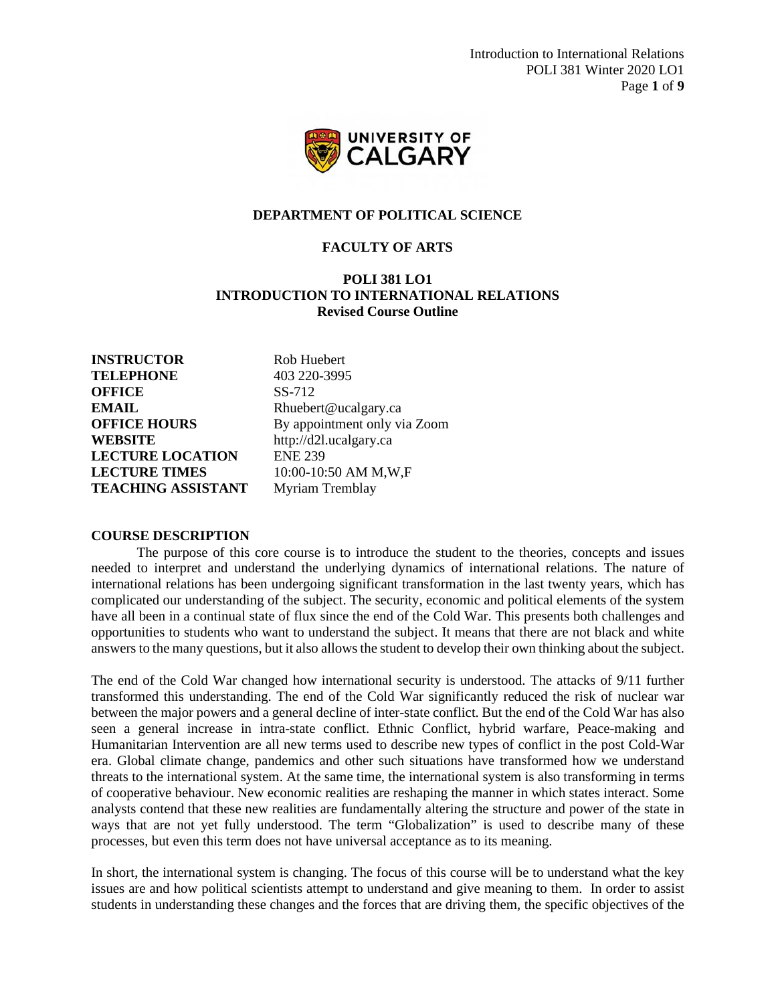Introduction to International Relations POLI 381 Winter 2020 LO1 Page **1** of **9**



#### **DEPARTMENT OF POLITICAL SCIENCE**

### **FACULTY OF ARTS**

### **POLI 381 LO1 INTRODUCTION TO INTERNATIONAL RELATIONS Revised Course Outline**

**INSTRUCTOR** Rob Huebert **TELEPHONE** 403 220-3995 **OFFICE** SS-712 **EMAIL** Rhuebert@ucalgary.ca **WEBSITE** http://d2l.ucalgary.ca **LECTURE LOCATION** ENE 239 **LECTURE TIMES** 10:00-10:50 AM M,W,F **TEACHING ASSISTANT** Myriam Tremblay

**OFFICE HOURS** By appointment only via Zoom

#### **COURSE DESCRIPTION**

The purpose of this core course is to introduce the student to the theories, concepts and issues needed to interpret and understand the underlying dynamics of international relations. The nature of international relations has been undergoing significant transformation in the last twenty years, which has complicated our understanding of the subject. The security, economic and political elements of the system have all been in a continual state of flux since the end of the Cold War. This presents both challenges and opportunities to students who want to understand the subject. It means that there are not black and white answers to the many questions, but it also allows the student to develop their own thinking about the subject.

The end of the Cold War changed how international security is understood. The attacks of 9/11 further transformed this understanding. The end of the Cold War significantly reduced the risk of nuclear war between the major powers and a general decline of inter-state conflict. But the end of the Cold War has also seen a general increase in intra-state conflict. Ethnic Conflict, hybrid warfare, Peace-making and Humanitarian Intervention are all new terms used to describe new types of conflict in the post Cold-War era. Global climate change, pandemics and other such situations have transformed how we understand threats to the international system. At the same time, the international system is also transforming in terms of cooperative behaviour. New economic realities are reshaping the manner in which states interact. Some analysts contend that these new realities are fundamentally altering the structure and power of the state in ways that are not yet fully understood. The term "Globalization" is used to describe many of these processes, but even this term does not have universal acceptance as to its meaning.

In short, the international system is changing. The focus of this course will be to understand what the key issues are and how political scientists attempt to understand and give meaning to them. In order to assist students in understanding these changes and the forces that are driving them, the specific objectives of the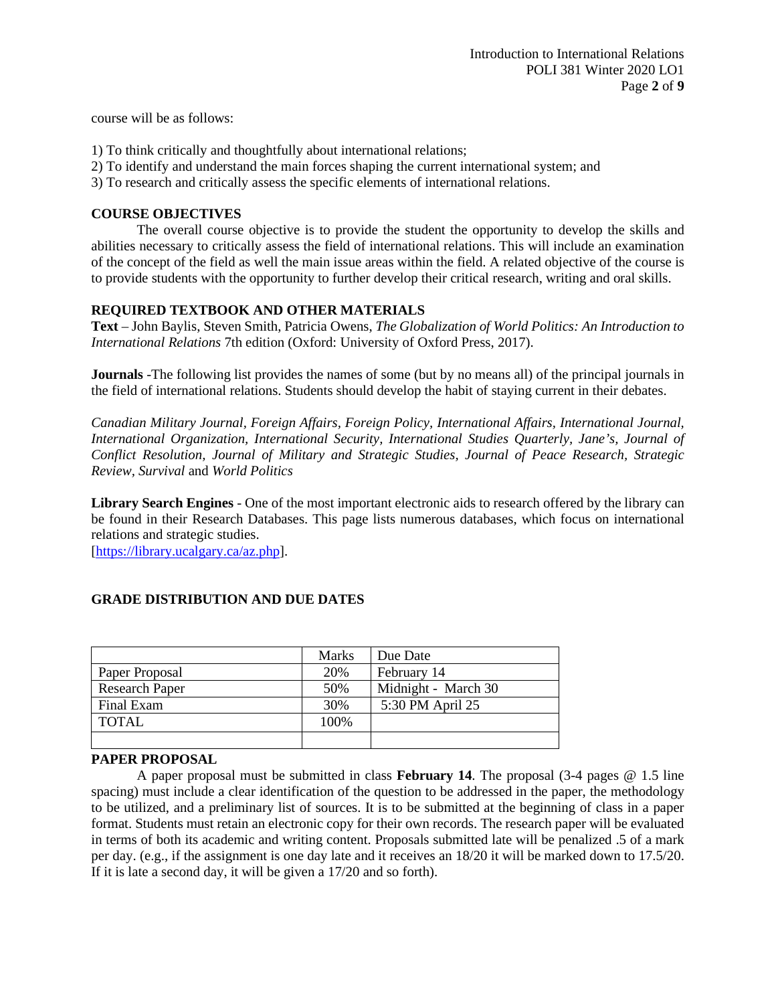course will be as follows:

- 1) To think critically and thoughtfully about international relations;
- 2) To identify and understand the main forces shaping the current international system; and
- 3) To research and critically assess the specific elements of international relations.

### **COURSE OBJECTIVES**

The overall course objective is to provide the student the opportunity to develop the skills and abilities necessary to critically assess the field of international relations. This will include an examination of the concept of the field as well the main issue areas within the field. A related objective of the course is to provide students with the opportunity to further develop their critical research, writing and oral skills.

### **REQUIRED TEXTBOOK AND OTHER MATERIALS**

**Text** – John Baylis, Steven Smith, Patricia Owens, *The Globalization of World Politics: An Introduction to International Relations* 7th edition (Oxford: University of Oxford Press, 2017).

**Journals** -The following list provides the names of some (but by no means all) of the principal journals in the field of international relations. Students should develop the habit of staying current in their debates.

*Canadian Military Journal, Foreign Affairs, Foreign Policy, International Affairs, International Journal, International Organization, International Security, International Studies Quarterly, Jane's, Journal of Conflict Resolution, Journal of Military and Strategic Studies, Journal of Peace Research, Strategic Review, Survival* and *World Politics*

**Library Search Engines** - One of the most important electronic aids to research offered by the library can be found in their Research Databases. This page lists numerous databases, which focus on international relations and strategic studies.

[\[https://library.ucalgary.ca/az.php\]](https://library.ucalgary.ca/az.php).

|                       | <b>Marks</b> | Due Date            |
|-----------------------|--------------|---------------------|
| Paper Proposal        | 20%          | February 14         |
| <b>Research Paper</b> | 50%          | Midnight - March 30 |
| Final Exam            | 30%          | 5:30 PM April 25    |
| TOTAL                 | 100\%        |                     |
|                       |              |                     |

### **GRADE DISTRIBUTION AND DUE DATES**

### **PAPER PROPOSAL**

A paper proposal must be submitted in class **February 14**. The proposal (3-4 pages @ 1.5 line spacing) must include a clear identification of the question to be addressed in the paper, the methodology to be utilized, and a preliminary list of sources. It is to be submitted at the beginning of class in a paper format. Students must retain an electronic copy for their own records. The research paper will be evaluated in terms of both its academic and writing content. Proposals submitted late will be penalized .5 of a mark per day. (e.g., if the assignment is one day late and it receives an 18/20 it will be marked down to 17.5/20. If it is late a second day, it will be given a 17/20 and so forth).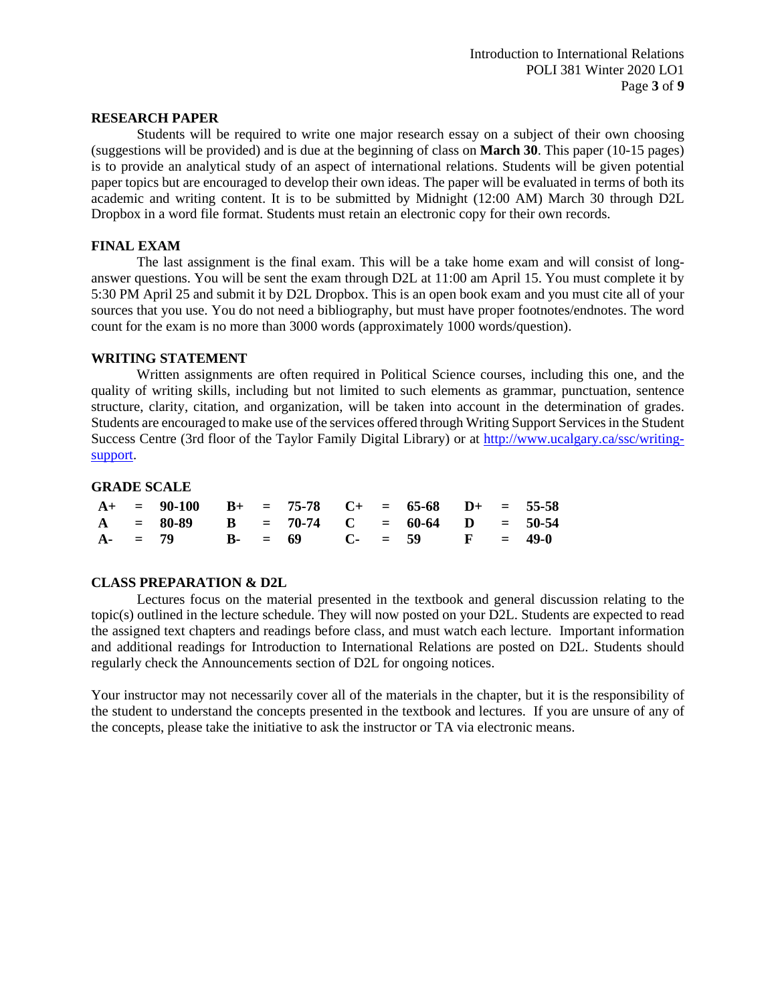### **RESEARCH PAPER**

Students will be required to write one major research essay on a subject of their own choosing (suggestions will be provided) and is due at the beginning of class on **March 30**. This paper (10-15 pages) is to provide an analytical study of an aspect of international relations. Students will be given potential paper topics but are encouraged to develop their own ideas. The paper will be evaluated in terms of both its academic and writing content. It is to be submitted by Midnight (12:00 AM) March 30 through D2L Dropbox in a word file format. Students must retain an electronic copy for their own records.

### **FINAL EXAM**

The last assignment is the final exam. This will be a take home exam and will consist of longanswer questions. You will be sent the exam through D2L at 11:00 am April 15. You must complete it by 5:30 PM April 25 and submit it by D2L Dropbox. This is an open book exam and you must cite all of your sources that you use. You do not need a bibliography, but must have proper footnotes/endnotes. The word count for the exam is no more than 3000 words (approximately 1000 words/question).

### **WRITING STATEMENT**

Written assignments are often required in Political Science courses, including this one, and the quality of writing skills, including but not limited to such elements as grammar, punctuation, sentence structure, clarity, citation, and organization, will be taken into account in the determination of grades. Students are encouraged to make use of the services offered through Writing Support Services in the Student Success Centre (3rd floor of the Taylor Family Digital Library) or at [http://www.ucalgary.ca/ssc/writing](http://www.ucalgary.ca/ssc/writing-support)[support.](http://www.ucalgary.ca/ssc/writing-support)

### **GRADE SCALE**

|  | $A+$ = 90-100 B+ = 75-78 C+ = 65-68 D+ = 55-58 |  |  |  |  |  |
|--|------------------------------------------------|--|--|--|--|--|
|  | $A = 80-89$ B = 70-74 C = 60-64 D = 50-54      |  |  |  |  |  |
|  | $A-$ = 79 B- = 69 C- = 59 F = 49-0             |  |  |  |  |  |

### **CLASS PREPARATION & D2L**

Lectures focus on the material presented in the textbook and general discussion relating to the topic(s) outlined in the lecture schedule. They will now posted on your D2L. Students are expected to read the assigned text chapters and readings before class, and must watch each lecture. Important information and additional readings for Introduction to International Relations are posted on D2L. Students should regularly check the Announcements section of D2L for ongoing notices.

Your instructor may not necessarily cover all of the materials in the chapter, but it is the responsibility of the student to understand the concepts presented in the textbook and lectures. If you are unsure of any of the concepts, please take the initiative to ask the instructor or TA via electronic means.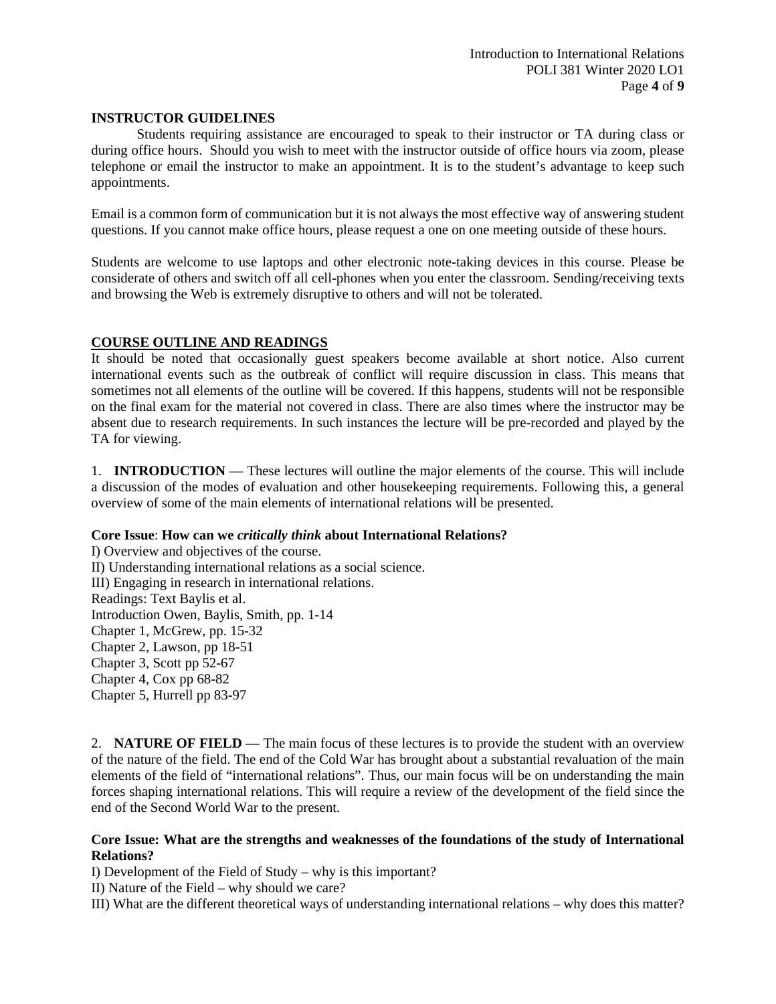### **INSTRUCTOR GUIDELINES**

Students requiring assistance are encouraged to speak to their instructor or TA during class or during office hours. Should you wish to meet with the instructor outside of office hours via zoom, please telephone or email the instructor to make an appointment. It is to the student's advantage to keep such appointments.

Email is a common form of communication but it is not always the most effective way of answering student questions. If you cannot make office hours, please request a one on one meeting outside of these hours.

Students are welcome to use laptops and other electronic note-taking devices in this course. Please be considerate of others and switch off all cell-phones when you enter the classroom. Sending/receiving texts and browsing the Web is extremely disruptive to others and will not be tolerated.

### **COURSE OUTLINE AND READINGS**

It should be noted that occasionally guest speakers become available at short notice. Also current international events such as the outbreak of conflict will require discussion in class. This means that sometimes not all elements of the outline will be covered. If this happens, students will not be responsible on the final exam for the material not covered in class. There are also times where the instructor may be absent due to research requirements. In such instances the lecture will be pre-recorded and played by the TA for viewing.

1. **INTRODUCTION** — These lectures will outline the major elements of the course. This will include a discussion of the modes of evaluation and other housekeeping requirements. Following this, a general overview of some of the main elements of international relations will be presented.

### **Core Issue**: **How can we** *critically think* **about International Relations?**

I) Overview and objectives of the course. II) Understanding international relations as a social science. III) Engaging in research in international relations. Readings: Text Baylis et al. Introduction Owen, Baylis, Smith, pp. 1-14 Chapter 1, McGrew, pp. 15-32 Chapter 2, Lawson, pp 18-51 Chapter 3, Scott pp 52-67 Chapter 4, Cox pp 68-82 Chapter 5, Hurrell pp 83-97

2. **NATURE OF FIELD** — The main focus of these lectures is to provide the student with an overview of the nature of the field. The end of the Cold War has brought about a substantial revaluation of the main elements of the field of "international relations". Thus, our main focus will be on understanding the main forces shaping international relations. This will require a review of the development of the field since the end of the Second World War to the present.

### **Core Issue: What are the strengths and weaknesses of the foundations of the study of International Relations?**

I) Development of the Field of Study – why is this important?

II) Nature of the Field – why should we care?

III) What are the different theoretical ways of understanding international relations – why does this matter?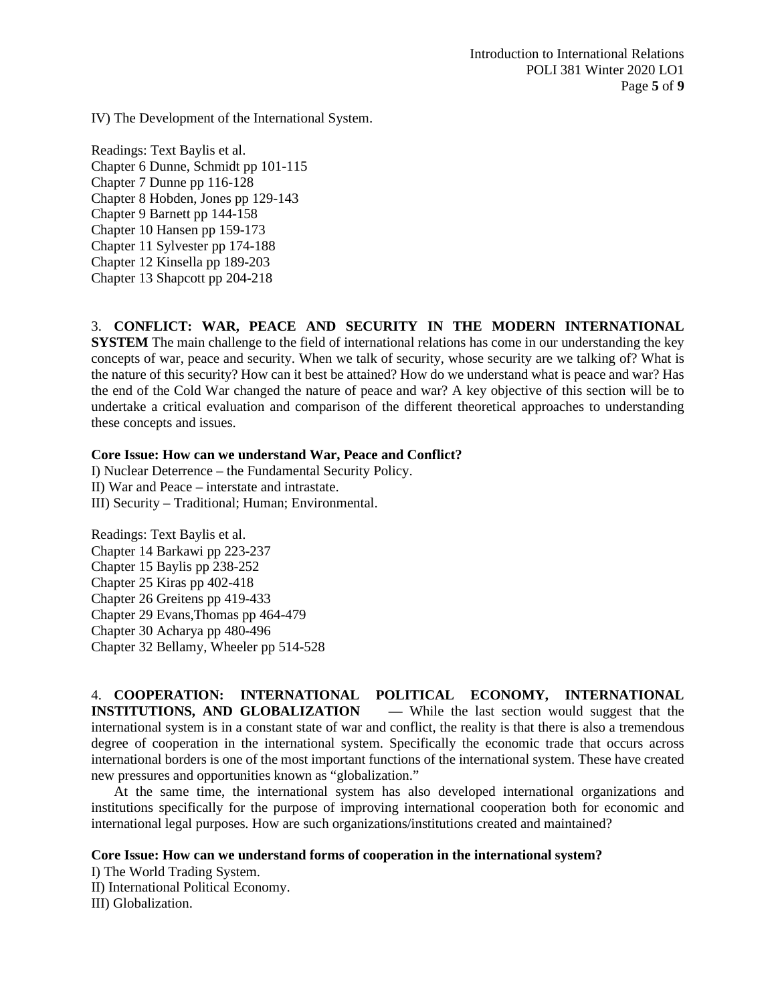IV) The Development of the International System.

Readings: Text Baylis et al. Chapter 6 Dunne, Schmidt pp 101-115 Chapter 7 Dunne pp 116-128 Chapter 8 Hobden, Jones pp 129-143 Chapter 9 Barnett pp 144-158 Chapter 10 Hansen pp 159-173 Chapter 11 Sylvester pp 174-188 Chapter 12 Kinsella pp 189-203 Chapter 13 Shapcott pp 204-218

3. **CONFLICT: WAR, PEACE AND SECURITY IN THE MODERN INTERNATIONAL** 

**SYSTEM** The main challenge to the field of international relations has come in our understanding the key concepts of war, peace and security. When we talk of security, whose security are we talking of? What is the nature of this security? How can it best be attained? How do we understand what is peace and war? Has the end of the Cold War changed the nature of peace and war? A key objective of this section will be to undertake a critical evaluation and comparison of the different theoretical approaches to understanding these concepts and issues.

### **Core Issue: How can we understand War, Peace and Conflict?**

I) Nuclear Deterrence – the Fundamental Security Policy. II) War and Peace – interstate and intrastate. III) Security – Traditional; Human; Environmental.

Readings: Text Baylis et al. Chapter 14 Barkawi pp 223-237 Chapter 15 Baylis pp 238-252 Chapter 25 Kiras pp 402-418 Chapter 26 Greitens pp 419-433 Chapter 29 Evans,Thomas pp 464-479 Chapter 30 Acharya pp 480-496 Chapter 32 Bellamy, Wheeler pp 514-528

4. **COOPERATION: INTERNATIONAL POLITICAL ECONOMY, INTERNATIONAL INSTITUTIONS, AND GLOBALIZATION** — While the last section would suggest that the international system is in a constant state of war and conflict, the reality is that there is also a tremendous degree of cooperation in the international system. Specifically the economic trade that occurs across international borders is one of the most important functions of the international system. These have created new pressures and opportunities known as "globalization."

At the same time, the international system has also developed international organizations and institutions specifically for the purpose of improving international cooperation both for economic and international legal purposes. How are such organizations/institutions created and maintained?

### **Core Issue: How can we understand forms of cooperation in the international system?**

I) The World Trading System. II) International Political Economy.

III) Globalization.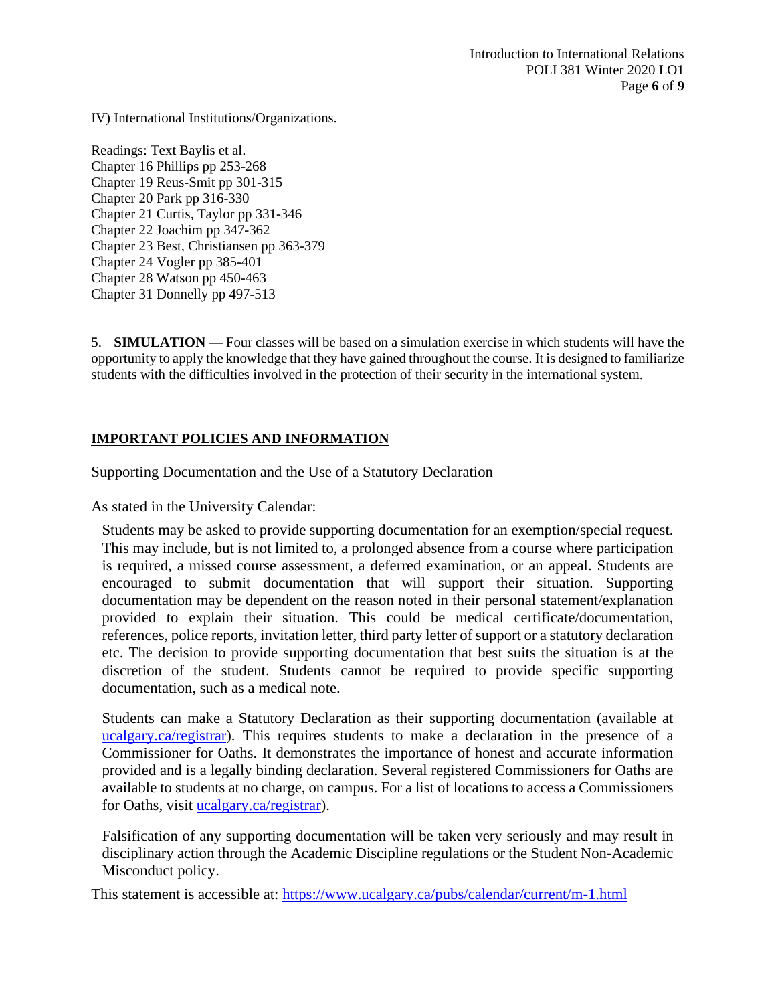IV) International Institutions/Organizations.

Readings: Text Baylis et al. Chapter 16 Phillips pp 253-268 Chapter 19 Reus-Smit pp 301-315 Chapter 20 Park pp 316-330 Chapter 21 Curtis, Taylor pp 331-346 Chapter 22 Joachim pp 347-362 Chapter 23 Best, Christiansen pp 363-379 Chapter 24 Vogler pp 385-401 Chapter 28 Watson pp 450-463 Chapter 31 Donnelly pp 497-513

5. **SIMULATION** — Four classes will be based on a simulation exercise in which students will have the opportunity to apply the knowledge that they have gained throughout the course. It is designed to familiarize students with the difficulties involved in the protection of their security in the international system.

# **IMPORTANT POLICIES AND INFORMATION**

Supporting Documentation and the Use of a Statutory Declaration

As stated in the University Calendar:

Students may be asked to provide supporting documentation for an exemption/special request. This may include, but is not limited to, a prolonged absence from a course where participation is required, a missed course assessment, a deferred examination, or an appeal. Students are encouraged to submit documentation that will support their situation. Supporting documentation may be dependent on the reason noted in their personal statement/explanation provided to explain their situation. This could be medical certificate/documentation, references, police reports, invitation letter, third party letter of support or a statutory declaration etc. The decision to provide supporting documentation that best suits the situation is at the discretion of the student. Students cannot be required to provide specific supporting documentation, such as a medical note.

Students can make a Statutory Declaration as their supporting documentation (available at ucalgary.ca/registrar). This requires students to make a declaration in the presence of a Commissioner for Oaths. It demonstrates the importance of honest and accurate information provided and is a legally binding declaration. Several registered Commissioners for Oaths are available to students at no charge, on campus. For a list of locations to access a Commissioners for Oaths, visit [ucalgary.ca/registrar\)](http://www.ucalgary.ca/registrar).

Falsification of any supporting documentation will be taken very seriously and may result in disciplinary action through the Academic Discipline regulations or the Student Non-Academic Misconduct policy.

This statement is accessible at:<https://www.ucalgary.ca/pubs/calendar/current/m-1.html>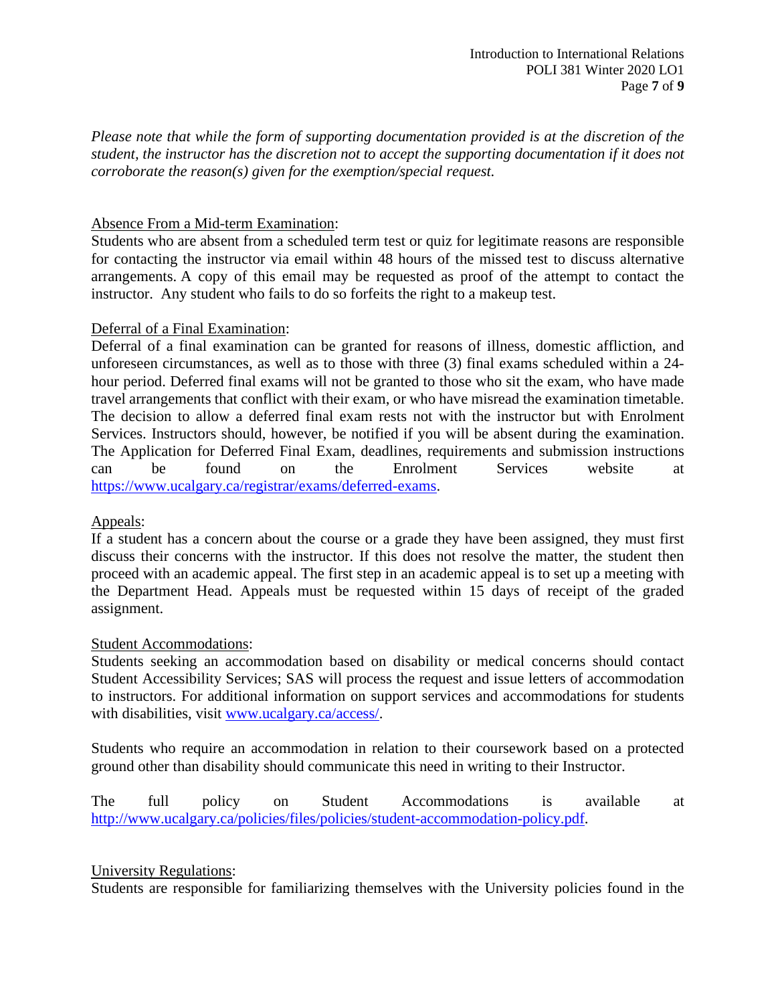*Please note that while the form of supporting documentation provided is at the discretion of the student, the instructor has the discretion not to accept the supporting documentation if it does not corroborate the reason(s) given for the exemption/special request.*

# Absence From a Mid-term Examination:

Students who are absent from a scheduled term test or quiz for legitimate reasons are responsible for contacting the instructor via email within 48 hours of the missed test to discuss alternative arrangements. A copy of this email may be requested as proof of the attempt to contact the instructor. Any student who fails to do so forfeits the right to a makeup test.

# Deferral of a Final Examination:

Deferral of a final examination can be granted for reasons of illness, domestic affliction, and unforeseen circumstances, as well as to those with three (3) final exams scheduled within a 24 hour period. Deferred final exams will not be granted to those who sit the exam, who have made travel arrangements that conflict with their exam, or who have misread the examination timetable. The decision to allow a deferred final exam rests not with the instructor but with Enrolment Services. Instructors should, however, be notified if you will be absent during the examination. The Application for Deferred Final Exam, deadlines, requirements and submission instructions can be found on the Enrolment Services website at [https://www.ucalgary.ca/registrar/exams/deferred-exams.](https://www.ucalgary.ca/registrar/exams/deferred-exams)

# Appeals:

If a student has a concern about the course or a grade they have been assigned, they must first discuss their concerns with the instructor. If this does not resolve the matter, the student then proceed with an academic appeal. The first step in an academic appeal is to set up a meeting with the Department Head. Appeals must be requested within 15 days of receipt of the graded assignment.

# Student Accommodations:

Students seeking an accommodation based on disability or medical concerns should contact Student Accessibility Services; SAS will process the request and issue letters of accommodation to instructors. For additional information on support services and accommodations for students with disabilities, visit [www.ucalgary.ca/access/.](http://www.ucalgary.ca/access/)

Students who require an accommodation in relation to their coursework based on a protected ground other than disability should communicate this need in writing to their Instructor.

The full policy on Student Accommodations is available at [http://www.ucalgary.ca/policies/files/policies/student-accommodation-policy.pdf.](http://www.ucalgary.ca/policies/files/policies/student-accommodation-policy.pdf)

# University Regulations:

Students are responsible for familiarizing themselves with the University policies found in the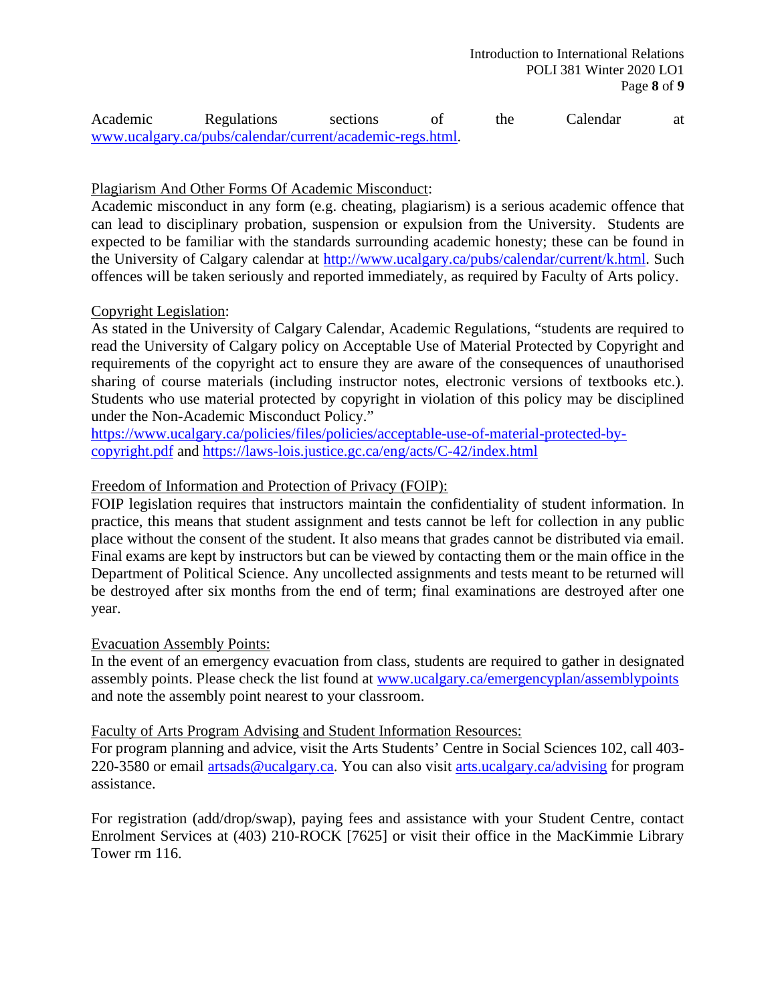| Academic | Regulations                                               | sections |  | the | Calendar |  |
|----------|-----------------------------------------------------------|----------|--|-----|----------|--|
|          | www.ucalgary.ca/pubs/calendar/current/academic-regs.html. |          |  |     |          |  |

# Plagiarism And Other Forms Of Academic Misconduct:

Academic misconduct in any form (e.g. cheating, plagiarism) is a serious academic offence that can lead to disciplinary probation, suspension or expulsion from the University. Students are expected to be familiar with the standards surrounding academic honesty; these can be found in the University of Calgary calendar at [http://www.ucalgary.ca/pubs/calendar/current/k.html.](http://www.ucalgary.ca/pubs/calendar/current/k.html) Such offences will be taken seriously and reported immediately, as required by Faculty of Arts policy.

# Copyright Legislation:

As stated in the University of Calgary Calendar, Academic Regulations, "students are required to read the University of Calgary policy on Acceptable Use of Material Protected by Copyright and requirements of the copyright act to ensure they are aware of the consequences of unauthorised sharing of course materials (including instructor notes, electronic versions of textbooks etc.). Students who use material protected by copyright in violation of this policy may be disciplined under the Non-Academic Misconduct Policy."

[https://www.ucalgary.ca/policies/files/policies/acceptable-use-of-material-protected-by](https://www.ucalgary.ca/policies/files/policies/acceptable-use-of-material-protected-by-copyright.pdf)[copyright.pdf](https://www.ucalgary.ca/policies/files/policies/acceptable-use-of-material-protected-by-copyright.pdf) and<https://laws-lois.justice.gc.ca/eng/acts/C-42/index.html>

# Freedom of Information and Protection of Privacy (FOIP):

FOIP legislation requires that instructors maintain the confidentiality of student information. In practice, this means that student assignment and tests cannot be left for collection in any public place without the consent of the student. It also means that grades cannot be distributed via email. Final exams are kept by instructors but can be viewed by contacting them or the main office in the Department of Political Science. Any uncollected assignments and tests meant to be returned will be destroyed after six months from the end of term; final examinations are destroyed after one year.

# Evacuation Assembly Points:

In the event of an emergency evacuation from class, students are required to gather in designated assembly points. Please check the list found at [www.ucalgary.ca/emergencyplan/assemblypoints](http://www.ucalgary.ca/emergencyplan/assemblypoints) and note the assembly point nearest to your classroom.

# Faculty of Arts Program Advising and Student Information Resources:

For program planning and advice, visit the Arts Students' Centre in Social Sciences 102, call 403- 220-3580 or email [artsads@ucalgary.ca.](mailto:artsads@ucalgary.ca) You can also visit [arts.ucalgary.ca/advising](http://arts.ucalgary.ca/advising) for program assistance.

For registration (add/drop/swap), paying fees and assistance with your Student Centre, contact Enrolment Services at (403) 210-ROCK [7625] or visit their office in the MacKimmie Library Tower rm 116.